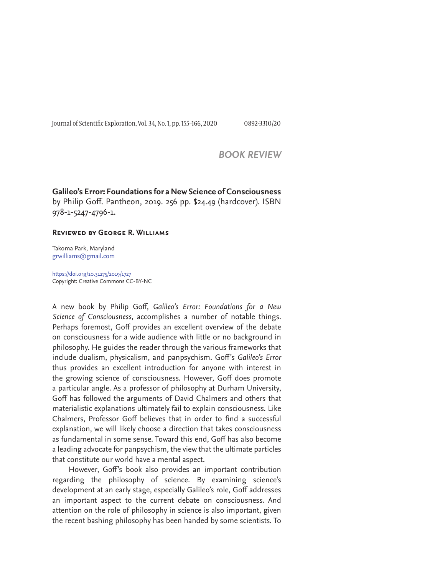Journal of Scientific Exploration, Vol. 34, No. 1, pp. 155-166, 2020 0892-3310/20

# *BOOK REVIEW*

# **Galileo's Error: Foundations for a New Science of Consciousness**

by Philip Goff. Pantheon, 2019. 256 pp. \$24.49 (hardcover). ISBN 978-1-5247-4796-1.

## **Reviewed by George R. Williams**

Takoma Park, Maryland grwilliams@gmail.com

https://doi.org/10.31275/2019/1727 Copyright: Creative Commons CC-BY-NC

A new book by Philip Goff, Galileo's Error: Foundations for a New *Science of Consciousness*, accomplishes a number of notable things. Perhaps foremost, Goff provides an excellent overview of the debate on consciousness for a wide audience with little or no background in philosophy. He guides the reader through the various frameworks that include dualism, physicalism, and panpsychism. Goff's Galileo's Error thus provides an excellent introduction for anyone with interest in the growing science of consciousness. However, Goff does promote a particular angle. As a professor of philosophy at Durham University, Goff has followed the arguments of David Chalmers and others that materialistic explanations ultimately fail to explain consciousness. Like Chalmers, Professor Goff believes that in order to find a successful explanation, we will likely choose a direction that takes consciousness as fundamental in some sense. Toward this end, Goff has also become a leading advocate for panpsychism, the view that the ultimate particles that constitute our world have a mental aspect.

However, Goff's book also provides an important contribution regarding the philosophy of science. By examining science's development at an early stage, especially Galileo's role, Goff addresses an important aspect to the current debate on consciousness. And attention on the role of philosophy in science is also important, given the recent bashing philosophy has been handed by some scientists. To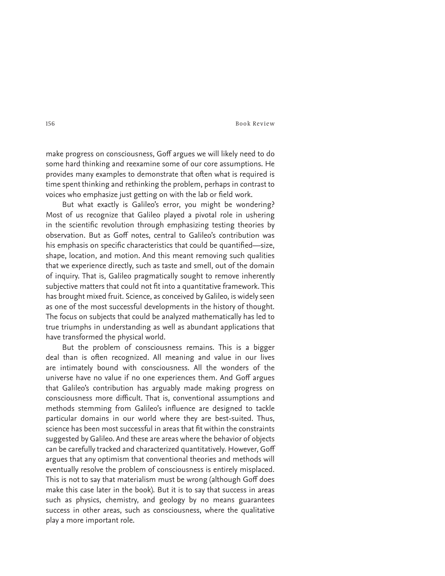make progress on consciousness, Goff argues we will likely need to do some hard thinking and reexamine some of our core assumptions. He provides many examples to demonstrate that often what is required is time spent thinking and rethinking the problem, perhaps in contrast to voices who emphasize just getting on with the lab or field work.

But what exactly is Galileo's error, you might be wondering? Most of us recognize that Galileo played a pivotal role in ushering in the scientific revolution through emphasizing testing theories by observation. But as Goff notes, central to Galileo's contribution was his emphasis on specific characteristics that could be quantified—size, shape, location, and motion. And this meant removing such qualities that we experience directly, such as taste and smell, out of the domain of inquiry. That is, Galileo pragmatically sought to remove inherently subjective matters that could not fit into a quantitative framework. This has brought mixed fruit. Science, as conceived by Galileo, is widely seen as one of the most successful developments in the history of thought. The focus on subjects that could be analyzed mathematically has led to true triumphs in understanding as well as abundant applications that have transformed the physical world.

But the problem of consciousness remains. This is a bigger deal than is often recognized. All meaning and value in our lives are intimately bound with consciousness. All the wonders of the universe have no value if no one experiences them. And Goff argues that Galileo's contribution has arguably made making progress on consciousness more difficult. That is, conventional assumptions and methods stemming from Galileo's influence are designed to tackle particular domains in our world where they are best-suited. Thus, science has been most successful in areas that fit within the constraints suggested by Galileo. And these are areas where the behavior of objects can be carefully tracked and characterized quantitatively. However, Goff argues that any optimism that conventional theories and methods will eventually resolve the problem of consciousness is entirely misplaced. This is not to say that materialism must be wrong (although Goff does make this case later in the book). But it is to say that success in areas such as physics, chemistry, and geology by no means guarantees success in other areas, such as consciousness, where the qualitative play a more important role.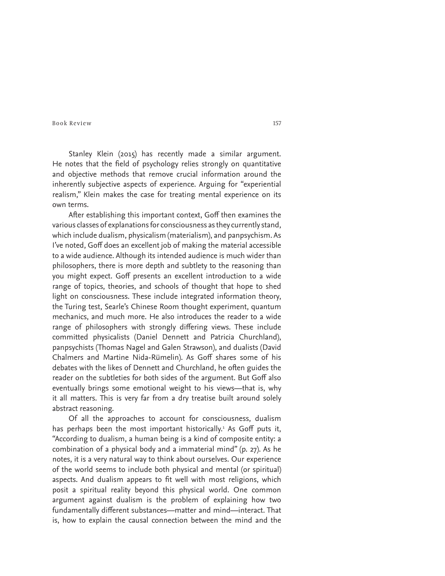Stanley Klein (2015) has recently made a similar argument. He notes that the field of psychology relies strongly on quantitative and objective methods that remove crucial information around the inherently subjective aspects of experience. Arguing for "experiential realism," Klein makes the case for treating mental experience on its own terms.

After establishing this important context, Goff then examines the various classes of explanations for consciousness as they currently stand, which include dualism, physicalism (materialism), and panpsychism. As I've noted, Goff does an excellent job of making the material accessible to a wide audience. Although its intended audience is much wider than philosophers, there is more depth and subtlety to the reasoning than you might expect. Goff presents an excellent introduction to a wide range of topics, theories, and schools of thought that hope to shed light on consciousness. These include integrated information theory, the Turing test, Searle's Chinese Room thought experiment, quantum mechanics, and much more. He also introduces the reader to a wide range of philosophers with strongly differing views. These include committed physicalists (Daniel Dennett and Patricia Churchland), panpsychists (Thomas Nagel and Galen Strawson), and dualists (David Chalmers and Martine Nida-Rümelin). As Goff shares some of his debates with the likes of Dennett and Churchland, he often guides the reader on the subtleties for both sides of the argument. But Goff also eventually brings some emotional weight to his views—that is, why it all matters. This is very far from a dry treatise built around solely abstract reasoning.

Of all the approaches to account for consciousness, dualism has perhaps been the most important historically.<sup>1</sup> As Goff puts it, "According to dualism, a human being is a kind of composite entity: a combination of a physical body and a immaterial mind" (p. 27). As he notes, it is a very natural way to think about ourselves. Our experience of the world seems to include both physical and mental (or spiritual) aspects. And dualism appears to fit well with most religions, which posit a spiritual reality beyond this physical world. One common argument against dualism is the problem of explaining how two fundamentally different substances—matter and mind—interact. That is, how to explain the causal connection between the mind and the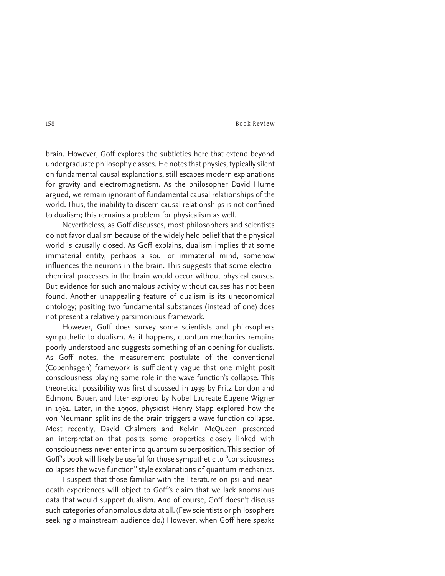brain. However, Goff explores the subtleties here that extend beyond undergraduate philosophy classes. He notes that physics, typically silent on fundamental causal explanations, still escapes modern explanations for gravity and electromagnetism. As the philosopher David Hume argued, we remain ignorant of fundamental causal relationships of the world. Thus, the inability to discern causal relationships is not confined to dualism; this remains a problem for physicalism as well.

Nevertheless, as Goff discusses, most philosophers and scientists do not favor dualism because of the widely held belief that the physical world is causally closed. As Goff explains, dualism implies that some immaterial entity, perhaps a soul or immaterial mind, somehow influences the neurons in the brain. This suggests that some electrochemical processes in the brain would occur without physical causes. But evidence for such anomalous activity without causes has not been found. Another unappealing feature of dualism is its uneconomical ontology; positing two fundamental substances (instead of one) does not present a relatively parsimonious framework.

However, Goff does survey some scientists and philosophers sympathetic to dualism. As it happens, quantum mechanics remains poorly understood and suggests something of an opening for dualists. As Goff notes, the measurement postulate of the conventional (Copenhagen) framework is sufficiently vague that one might posit consciousness playing some role in the wave function's collapse. This theoretical possibility was first discussed in 1939 by Fritz London and Edmond Bauer, and later explored by Nobel Laureate Eugene Wigner in 1961. Later, in the 1990s, physicist Henry Stapp explored how the von Neumann split inside the brain triggers a wave function collapse. Most recently, David Chalmers and Kelvin McQueen presented an interpretation that posits some properties closely linked with consciousness never enter into quantum superposition. This section of Goff's book will likely be useful for those sympathetic to "consciousness collapses the wave function" style explanations of quantum mechanics.

I suspect that those familiar with the literature on psi and neardeath experiences will object to Goff's claim that we lack anomalous data that would support dualism. And of course, Goff doesn't discuss such categories of anomalous data at all. (Few scientists or philosophers seeking a mainstream audience do.) However, when Goff here speaks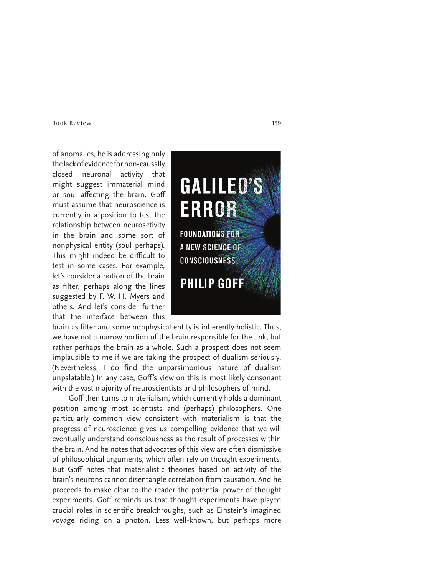of anomalies, he is addressing only the lack of evidence for non-causally closed neuronal activity that might suggest immaterial mind or soul affecting the brain. Goff must assume that neuroscience is currently in a position to test the relationship between neuroactivity in the brain and some sort of nonphysical entity (soul perhaps). This might indeed be difficult to test in some cases. For example, let's consider a notion of the brain as filter, perhaps along the lines suggested by F. W. H. Myers and others. And let's consider further that the interface between this

brain as filter and some nonphysical entity is inherently holistic. Thus, we have not a narrow portion of the brain responsible for the link, but rather perhaps the brain as a whole. Such a prospect does not seem implausible to me if we are taking the prospect of dualism seriously. (Nevertheless, I do find the unparsimonious nature of dualism unpalatable.) In any case, Goff's view on this is most likely consonant with the vast majority of neuroscientists and philosophers of mind.

Goff then turns to materialism, which currently holds a dominant position among most scientists and (perhaps) philosophers. One particularly common view consistent with materialism is that the progress of neuroscience gives us compelling evidence that we will eventually understand consciousness as the result of processes within the brain. And he notes that advocates of this view are often dismissive of philosophical arguments, which often rely on thought experiments. But Goff notes that materialistic theories based on activity of the brain's neurons cannot disentangle correlation from causation. And he proceeds to make clear to the reader the potential power of thought experiments. Goff reminds us that thought experiments have played crucial roles in scientific breakthroughs, such as Einstein's imagined voyage riding on a photon. Less well-known, but perhaps more

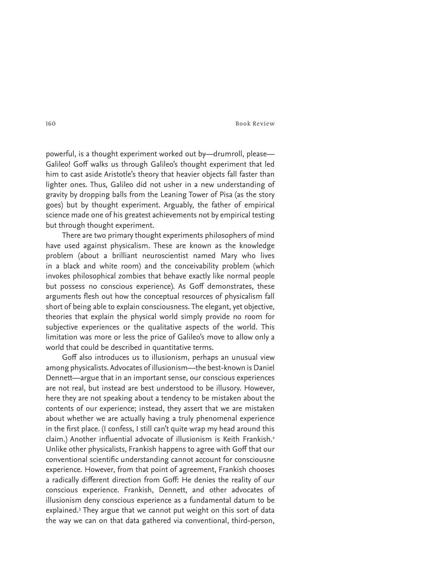powerful, is a thought experiment worked out by—drumroll, please— Galileo! Goff walks us through Galileo's thought experiment that led him to cast aside Aristotle's theory that heavier objects fall faster than lighter ones. Thus, Galileo did not usher in a new understanding of gravity by dropping balls from the Leaning Tower of Pisa (as the story goes) but by thought experiment. Arguably, the father of empirical science made one of his greatest achievements not by empirical testing but through thought experiment.

There are two primary thought experiments philosophers of mind have used against physicalism. These are known as the knowledge problem (about a brilliant neuroscientist named Mary who lives in a black and white room) and the conceivability problem (which invokes philosophical zombies that behave exactly like normal people but possess no conscious experience). As Goff demonstrates, these arguments flesh out how the conceptual resources of physicalism fall short of being able to explain consciousness. The elegant, yet objective, theories that explain the physical world simply provide no room for subjective experiences or the qualitative aspects of the world. This limitation was more or less the price of Galileo's move to allow only a world that could be described in quantitative terms.

Goff also introduces us to illusionism, perhaps an unusual view among physicalists. Advocates of illusionism—the best-known is Daniel Dennett—argue that in an important sense, our conscious experiences are not real, but instead are best understood to be illusory. However, here they are not speaking about a tendency to be mistaken about the contents of our experience; instead, they assert that we are mistaken about whether we are actually having a truly phenomenal experience in the first place. (I confess, I still can't quite wrap my head around this claim.) Another influential advocate of illusionism is Keith Frankish.<sup>2</sup> Unlike other physicalists, Frankish happens to agree with Goff that our conventional scientific understanding cannot account for consciousne experience. However, from that point of agreement, Frankish chooses a radically different direction from Goff: He denies the reality of our conscious experience. Frankish, Dennett, and other advocates of illusionism deny conscious experience as a fundamental datum to be explained.3 They argue that we cannot put weight on this sort of data the way we can on that data gathered via conventional, third-person,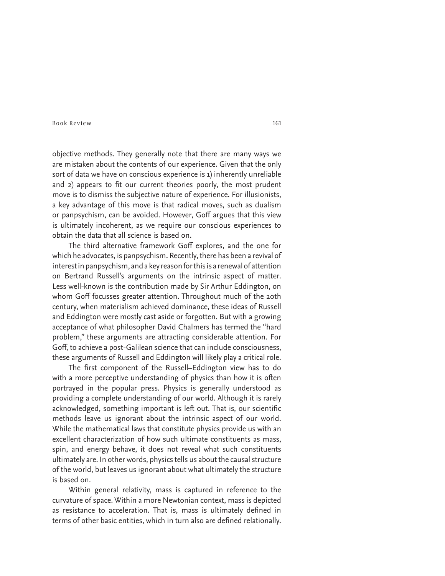objective methods. They generally note that there are many ways we are mistaken about the contents of our experience. Given that the only sort of data we have on conscious experience is 1) inherently unreliable and 2) appears to fit our current theories poorly, the most prudent move is to dismiss the subjective nature of experience. For illusionists, a key advantage of this move is that radical moves, such as dualism or panpsychism, can be avoided. However, Goff argues that this view is ultimately incoherent, as we require our conscious experiences to obtain the data that all science is based on.

The third alternative framework Goff explores, and the one for which he advocates, is panpsychism. Recently, there has been a revival of interest in panpsychism, and a key reason for this is a renewal of attention on Bertrand Russell's arguments on the intrinsic aspect of matter. Less well-known is the contribution made by Sir Arthur Eddington, on whom Goff focusses greater attention. Throughout much of the 20th century, when materialism achieved dominance, these ideas of Russell and Eddington were mostly cast aside or forgotten. But with a growing acceptance of what philosopher David Chalmers has termed the "hard problem," these arguments are attracting considerable attention. For Goff, to achieve a post-Galilean science that can include consciousness, these arguments of Russell and Eddington will likely play a critical role.

The first component of the Russell-Eddington view has to do with a more perceptive understanding of physics than how it is often portrayed in the popular press. Physics is generally understood as providing a complete understanding of our world. Although it is rarely acknowledged, something important is left out. That is, our scientific methods leave us ignorant about the intrinsic aspect of our world. While the mathematical laws that constitute physics provide us with an excellent characterization of how such ultimate constituents as mass, spin, and energy behave, it does not reveal what such constituents ultimately are. In other words, physics tells us about the causal structure of the world, but leaves us ignorant about what ultimately the structure is based on.

Within general relativity, mass is captured in reference to the curvature of space. Within a more Newtonian context, mass is depicted as resistance to acceleration. That is, mass is ultimately defined in terms of other basic entities, which in turn also are defined relationally.

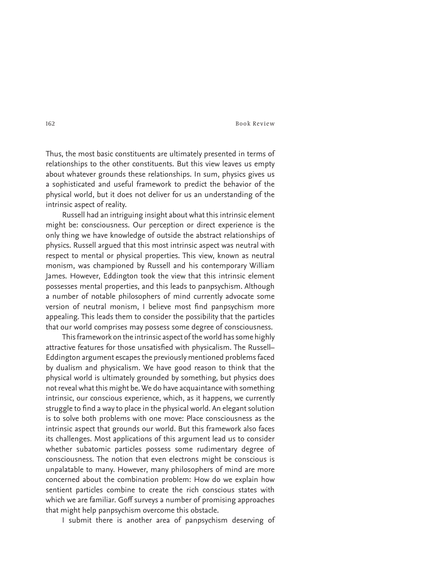Thus, the most basic constituents are ultimately presented in terms of relationships to the other constituents. But this view leaves us empty about whatever grounds these relationships. In sum, physics gives us a sophisticated and useful framework to predict the behavior of the physical world, but it does not deliver for us an understanding of the intrinsic aspect of reality.

Russell had an intriguing insight about what this intrinsic element might be: consciousness. Our perception or direct experience is the only thing we have knowledge of outside the abstract relationships of physics. Russell argued that this most intrinsic aspect was neutral with respect to mental or physical properties. This view, known as neutral monism, was championed by Russell and his contemporary William James. However, Eddington took the view that this intrinsic element possesses mental properties, and this leads to panpsychism. Although a number of notable philosophers of mind currently advocate some version of neutral monism, I believe most find panpsychism more appealing. This leads them to consider the possibility that the particles that our world comprises may possess some degree of consciousness.

This framework on the intrinsic aspect of the world has some highly attractive features for those unsatisfied with physicalism. The Russell-Eddington argument escapes the previously mentioned problems faced by dualism and physicalism. We have good reason to think that the physical world is ultimately grounded by something, but physics does not reveal what this might be. We do have acquaintance with something intrinsic, our conscious experience, which, as it happens, we currently struggle to find a way to place in the physical world. An elegant solution is to solve both problems with one move: Place consciousness as the intrinsic aspect that grounds our world. But this framework also faces its challenges. Most applications of this argument lead us to consider whether subatomic particles possess some rudimentary degree of consciousness. The notion that even electrons might be conscious is unpalatable to many. However, many philosophers of mind are more concerned about the combination problem: How do we explain how sentient particles combine to create the rich conscious states with which we are familiar. Goff surveys a number of promising approaches that might help panpsychism overcome this obstacle.

I submit there is another area of panpsychism deserving of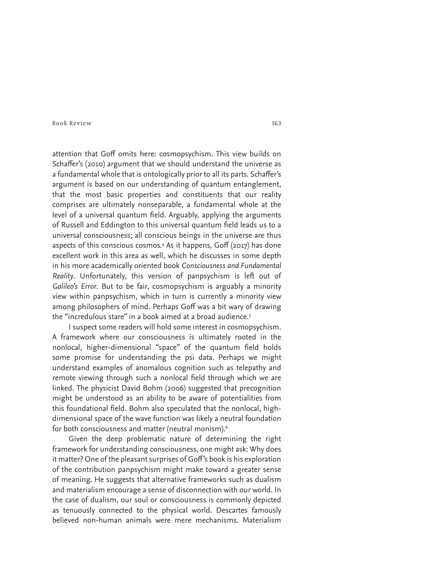attention that Goff omits here: cosmopsychism. This view builds on Schaffer's (2010) argument that we should understand the universe as a fundamental whole that is ontologically prior to all its parts. Schaffer's argument is based on our understanding of quantum entanglement, that the most basic properties and constituents that our reality comprises are ultimately nonseparable, a fundamental whole at the level of a universal quantum field. Arguably, applying the arguments of Russell and Eddington to this universal quantum field leads us to a universal consciousness; all conscious beings in the universe are thus aspects of this conscious cosmos.4 As it happens, Goff (2017) has done excellent work in this area as well, which he discusses in some depth in his more academically oriented book *Consciousness and Fundamental*  Reality. Unfortunately, this version of panpsychism is left out of *Galileo's Error*. But to be fair, cosmopsychism is arguably a minority view within panpsychism, which in turn is currently a minority view among philosophers of mind. Perhaps Goff was a bit wary of drawing the "incredulous stare" in a book aimed at a broad audience.<sup>5</sup>

I suspect some readers will hold some interest in cosmopsychism. A framework where our consciousness is ultimately rooted in the nonlocal, higher-dimensional "space" of the quantum field holds some promise for understanding the psi data. Perhaps we might understand examples of anomalous cognition such as telepathy and remote viewing through such a nonlocal field through which we are linked. The physicist David Bohm (2006) suggested that precognition might be understood as an ability to be aware of potentialities from this foundational field. Bohm also speculated that the nonlocal, highdimensional space of the wave function was likely a neutral foundation for both consciousness and matter (neutral monism).<sup>6</sup>

Given the deep problematic nature of determining the right framework for understanding consciousness, one might ask: Why does it matter? One of the pleasant surprises of Goff's book is his exploration of the contribution panpsychism might make toward a greater sense of meaning. He suggests that alternative frameworks such as dualism and materialism encourage a sense of disconnection with our world. In the case of dualism, our soul or consciousness is commonly depicted as tenuously connected to the physical world. Descartes famously believed non-human animals were mere mechanisms. Materialism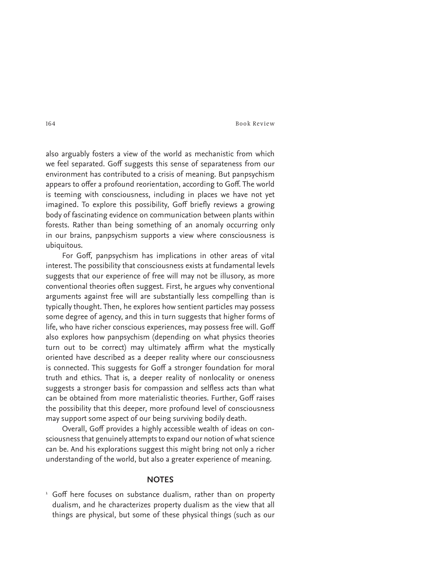also arguably fosters a view of the world as mechanistic from which we feel separated. Goff suggests this sense of separateness from our environment has contributed to a crisis of meaning. But panpsychism appears to offer a profound reorientation, according to Goff. The world is teeming with consciousness, including in places we have not yet imagined. To explore this possibility, Goff briefly reviews a growing body of fascinating evidence on communication between plants within forests. Rather than being something of an anomaly occurring only in our brains, panpsychism supports a view where consciousness is ubiquitous.

For Goff, panpsychism has implications in other areas of vital interest. The possibility that consciousness exists at fundamental levels suggests that our experience of free will may not be illusory, as more conventional theories often suggest. First, he argues why conventional arguments against free will are substantially less compelling than is typically thought. Then, he explores how sentient particles may possess some degree of agency, and this in turn suggests that higher forms of life, who have richer conscious experiences, may possess free will. Goff also explores how panpsychism (depending on what physics theories turn out to be correct) may ultimately affirm what the mystically oriented have described as a deeper reality where our consciousness is connected. This suggests for Goff a stronger foundation for moral truth and ethics. That is, a deeper reality of nonlocality or oneness suggests a stronger basis for compassion and selfless acts than what can be obtained from more materialistic theories. Further, Goff raises the possibility that this deeper, more profound level of consciousness may support some aspect of our being surviving bodily death.

Overall, Goff provides a highly accessible wealth of ideas on consciousness that genuinely attempts to expand our notion of what science can be. And his explorations suggest this might bring not only a richer understanding of the world, but also a greater experience of meaning.

# **NOTES**

<sup>1</sup> Goff here focuses on substance dualism, rather than on property dualism, and he characterizes property dualism as the view that all things are physical, but some of these physical things (such as our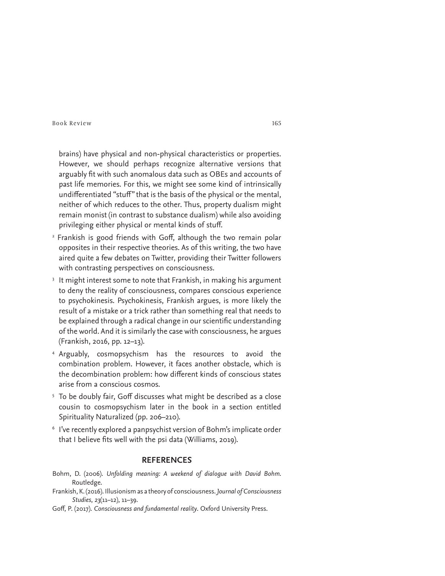brains) have physical and non-physical characteristics or properties. However, we should perhaps recognize alternative versions that arguably fit with such anomalous data such as OBEs and accounts of past life memories. For this, we might see some kind of intrinsically undifferentiated "stuff" that is the basis of the physical or the mental, neither of which reduces to the other. Thus, property dualism might remain monist (in contrast to substance dualism) while also avoiding privileging either physical or mental kinds of stuff.

- <sup>2</sup> Frankish is good friends with Goff, although the two remain polar opposites in their respective theories. As of this writing, the two have aired quite a few debates on Twitter, providing their Twitter followers with contrasting perspectives on consciousness.
- <sup>3</sup> It might interest some to note that Frankish, in making his argument to deny the reality of consciousness, compares conscious experience to psychokinesis. Psychokinesis, Frankish argues, is more likely the result of a mistake or a trick rather than something real that needs to be explained through a radical change in our scientific understanding of the world. And it is similarly the case with consciousness, he argues (Frankish, 2016, pp. 12–13).
- 4 Arguably, cosmopsychism has the resources to avoid the combination problem. However, it faces another obstacle, which is the decombination problem: how different kinds of conscious states arise from a conscious cosmos.
- $5$  To be doubly fair, Goff discusses what might be described as a close  $\overline{\phantom{a}}$ cousin to cosmopsychism later in the book in a section entitled Spirituality Naturalized (pp. 206–210).
- 6 I've recently explored a panpsychist version of Bohm's implicate order that I believe fits well with the psi data (Williams, 2019).

# **REFERENCES**

- Bohm, D. (2006). *Unfolding meaning: A weekend of dialogue with David Bohm.*  Routledge.
- Frankish, K. (2016). Illusionism as a theory of consciousness. *Journal of Consciousness Studies*, *23*(11–12), 11–39.
- Goff, P. (2017). *Consciousness and fundamental reality*. Oxford University Press.